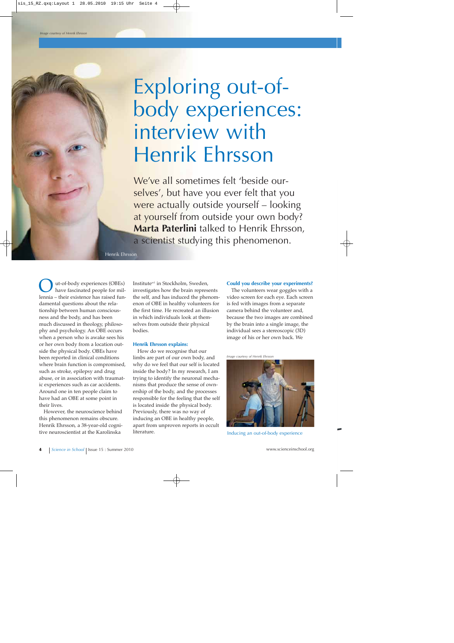# Exploring out-ofbody experiences: interview with Henrik Ehrsson

We've all sometimes felt 'beside ourselves', but have you ever felt that you were actually outside yourself – looking at yourself from outside your own body? **Marta Paterlini** talked to Henrik Ehrsson, a scientist studying this phenomenon.

Henrik Ehrsson

ut-of-body experiences (OBEs) have fascinated people for millennia – their existence has raised fundamental questions about the relationship between human consciousness and the body, and has been much discussed in theology, philosophy and psychology. An OBE occurs when a person who is awake sees his or her own body from a location outside the physical body. OBEs have been reported in clinical conditions where brain function is compromised, such as stroke, epilepsy and drug abuse, or in association with traumatic experiences such as car accidents. Around one in ten people claim to have had an OBE at some point in their lives.

However, the neuroscience behind this phenomenon remains obscure. Henrik Ehrsson, a 38-year-old cognitive neuroscientist at the Karolinska

Institute<sup>w1</sup> in Stockholm, Sweden, investigates how the brain represents the self, and has induced the phenomenon of OBE in healthy volunteers for the first time. He recreated an illusion in which individuals look at themselves from outside their physical bodies.

### **Henrik Ehrsson explains:**

How do we recognise that our limbs are part of our own body, and why do we feel that our self is located inside the body? In my research, I am trying to identify the neuronal mechanisms that produce the sense of ownership of the body, and the processes responsible for the feeling that the self is located inside the physical body. Previously, there was no way of inducing an OBE in healthy people, apart from unproven reports in occult literature.

#### **Could you describe your experiments?**

The volunteers wear goggles with a video screen for each eye. Each screen is fed with images from a separate camera behind the volunteer and, because the two images are combined by the brain into a single image, the individual sees a stereoscopic (3D) image of his or her own back. We

*Image courtesy of Henrik Ehrsson*



Inducing an out-of-body experience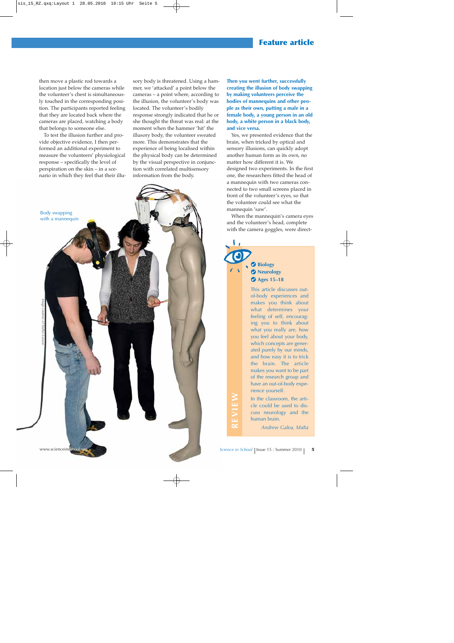# **Feature article**

then move a plastic rod towards a location just below the cameras while the volunteer's chest is simultaneously touched in the corresponding position. The participants reported feeling that they are located back where the cameras are placed, watching a body that belongs to someone else.

To test the illusion further and provide objective evidence, I then performed an additional experiment to measure the volunteers' physiological response – specifically the level of perspiration on the skin – in a scenario in which they feel that their illu-

Body swapping with a mannequin

*Image courtesy of Staffan Larsson*

sory body is threatened. Using a hammer, we 'attacked' a point below the cameras – a point where, according to the illusion, the volunteer's body was located. The volunteer's bodily response strongly indicated that he or she thought the threat was real: at the moment when the hammer 'hit' the illusory body, the volunteer sweated more. This demonstrates that the experience of being localised within the physical body can be determined by the visual perspective in conjunction with correlated multisensory information from the body.

**Then you went further, successfully creating the illusion of body swapping by making volunteers perceive the bodies of mannequins and other people as their own, putting a male in a female body, a young person in an old body, a white person in a black body, and vice versa.**

Yes, we presented evidence that the brain, when tricked by optical and sensory illusions, can quickly adopt another human form as its own, no matter how different it is. We designed two experiments. In the first one, the researchers fitted the head of a mannequin with two cameras connected to two small screens placed in front of the volunteer's eyes, so that the volunteer could see what the mannequin 'saw'.

When the mannequin's camera eyes and the volunteer's head, complete with the camera goggles, were direct-



cle could be used to discuss neurology and the human brain.

*Andrew Galea, Malta*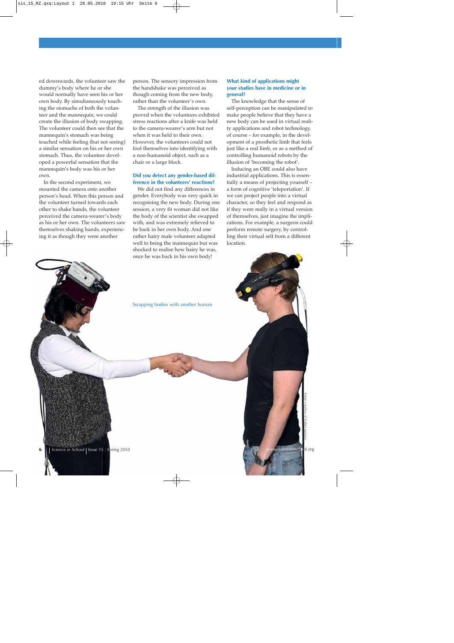ed downwards, the volunteer saw the dummy's body where he or she would normally have seen his or her own body. By simultaneously touching the stomachs of both the volunteer and the mannequin, we could create the illusion of body swapping. The volunteer could then see that the mannequin's stomach was being touched while feeling (but not seeing) a similar sensation on his or her own stomach. Thus, the volunteer developed a powerful sensation that the mannequin's body was his or her own.

In the second experiment, we mounted the camera onto another person's head. When this person and the volunteer turned towards each other to shake hands, the volunteer perceived the camera-wearer's body as his or her own. The volunteers saw themselves shaking hands, experiencing it as though they were another

person. The sensory impression from the handshake was perceived as though coming from the new body, rather than the volunteer's own.

The strength of the illusion was proved when the volunteers exhibited stress reactions after a knife was held to the camera-wearer's arm but not when it was held to their own. However, the volunteers could not fool themselves into identifying with a non-humanoid object, such as a chair or a large block.

## **Did you detect any gender-based difference in the volunteers' reactions?**

We did not find any differences in gender. Everybody was very quick in recognising the new body. During one session, a very fit woman did not like the body of the scientist she swapped with, and was extremely relieved to be back in her own body. And one rather hairy male volunteer adapted well to being the mannequin but was shocked to realise how hairy he was, once he was back in his own body!

## **What kind of applications might your studies have in medicine or in general?**

The knowledge that the sense of self-perception can be manipulated to make people believe that they have a new body can be used in virtual reality applications and robot technology, of course – for example, in the development of a prosthetic limb that feels just like a real limb, or as a method of controlling humanoid robots by the illusion of 'becoming the robot'.

Inducing an OBE could also have industrial applications. This is essentially a means of projecting yourself – a form of cognitive 'teleportation'. If we can project people into a virtual character, so they feel and respond as if they were really in a virtual version of themselves, just imagine the implications. For example, a surgeon could perform remote surgery, by controlling their virtual self from a different location.



*Image courtesy of Staffan Larsson*